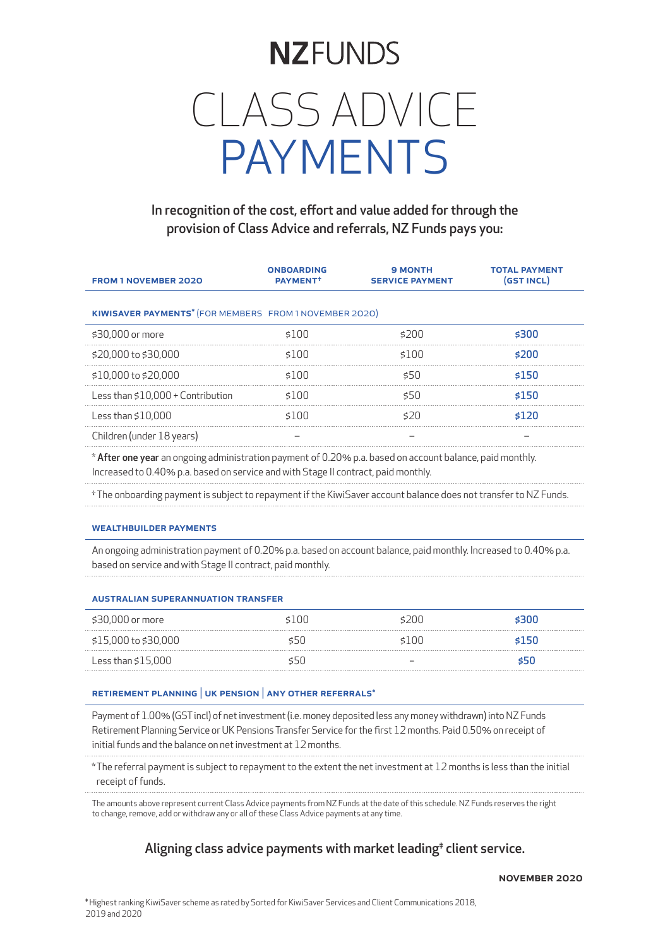# **NZFUNDS** CLASS ADVICE PAYMENTS

### In recognition of the cost, effort and value added for through the provision of Class Advice and referrals, NZ Funds pays you:

| <b>FROM 1 NOVEMBER 2020</b>                            | <b>ONBOARDING</b><br>PAYMENT <sup>+</sup> | <b>9 MONTH</b><br><b>SERVICE PAYMENT</b> | <b>TOTAL PAYMENT</b><br>(GST INCL) |  |  |
|--------------------------------------------------------|-------------------------------------------|------------------------------------------|------------------------------------|--|--|
| KIWISAVER PAYMENTS* (FOR MEMBERS FROM 1 NOVEMBER 2020) |                                           |                                          |                                    |  |  |
| \$30,000 or more                                       | \$100                                     | \$200                                    | \$300                              |  |  |
| \$20,000 to \$30,000                                   | \$100                                     | \$100                                    | \$200                              |  |  |
| \$10,000 to \$20,000                                   | \$100                                     | \$50                                     | \$150                              |  |  |
| Less than $$10.000 +$ Contribution                     | \$100                                     | \$50                                     | \$150                              |  |  |
| Less than $$10.000$                                    | \$100                                     | 520                                      | \$120                              |  |  |
| Children (under 18 years)                              |                                           |                                          |                                    |  |  |

\* After one year an ongoing administration payment of 0.20% p.a. based on account balance, paid monthly. Increased to 0.40% p.a. based on service and with Stage II contract, paid monthly.

†The onboarding payment is subject to repayment if the KiwiSaver account balance does not transfer to NZ Funds.

#### WEALTHBUILDER PAYMENTS

An ongoing administration payment of 0.20% p.a. based on account balance, paid monthly. Increased to 0.40% p.a. based on service and with Stage II contract, paid monthly.

#### australian superannuation transfer

| \$30,000 or more     | \$100 | 20O    |         |
|----------------------|-------|--------|---------|
| \$15,000 to \$30,000 |       | \$100. | s150    |
| Less than $$15,000$  |       |        | - 550 - |

#### retirement planning | uk pension | any other referrals\*

Payment of 1.00% (GST incl) of net investment (i.e. money deposited less any money withdrawn) into NZ Funds Retirement Planning Service or UK Pensions Transfer Service for the first 12 months. Paid 0.50% on receipt of initial funds and the balance on net investment at 12 months.

\*The referral payment is subject to repayment to the extent the net investment at 12 months is less than the initial receipt of funds.

The amounts above represent current Class Advice payments from NZ Funds at the date of this schedule. NZ Funds reserves the right to change, remove, add or withdraw any or all of these Class Advice payments at any time.

#### Aligning class advice payments with market leading<sup>#</sup> client service.